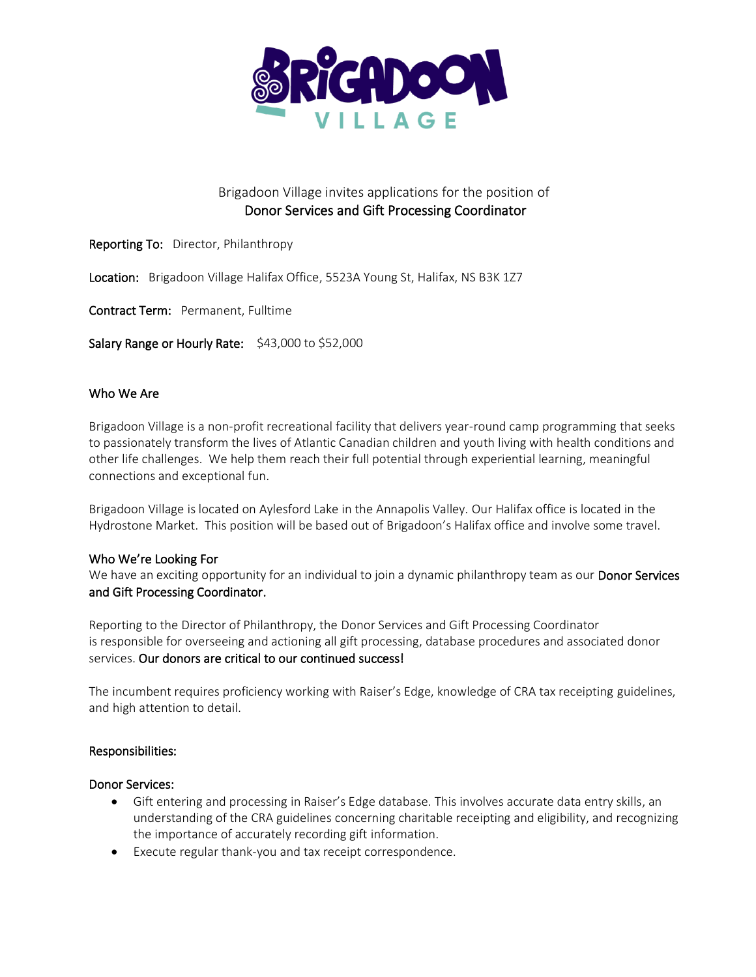

# Brigadoon Village invites applications for the position of Donor Services and Gift Processing Coordinator

- Reporting To: Director, Philanthropy
- Location: Brigadoon Village Halifax Office, 5523A Young St, Halifax, NS B3K 1Z7
- Contract Term: Permanent, Fulltime

Salary Range or Hourly Rate: \$43,000 to \$52,000

#### Who We Are

Brigadoon Village is a non-profit recreational facility that delivers year-round camp programming that seeks to passionately transform the lives of Atlantic Canadian children and youth living with health conditions and other life challenges. We help them reach their full potential through experiential learning, meaningful connections and exceptional fun.

Brigadoon Village is located on Aylesford Lake in the Annapolis Valley. Our Halifax office is located in the Hydrostone Market. This position will be based out of Brigadoon's Halifax office and involve some travel.

#### Who We're Looking For

We have an exciting opportunity for an individual to join a dynamic philanthropy team as our Donor Services and Gift Processing Coordinator.

Reporting to the Director of Philanthropy, the Donor Services and Gift Processing Coordinator is responsible for overseeing and actioning all gift processing, database procedures and associated donor services. Our donors are critical to our continued success!

The incumbent requires proficiency working with Raiser's Edge, knowledge of CRA tax receipting guidelines, and high attention to detail.

#### Responsibilities:

#### Donor Services:

- Gift entering and processing in Raiser's Edge database. This involves accurate data entry skills, an understanding of the CRA guidelines concerning charitable receipting and eligibility, and recognizing the importance of accurately recording gift information.
- Execute regular thank-you and tax receipt correspondence.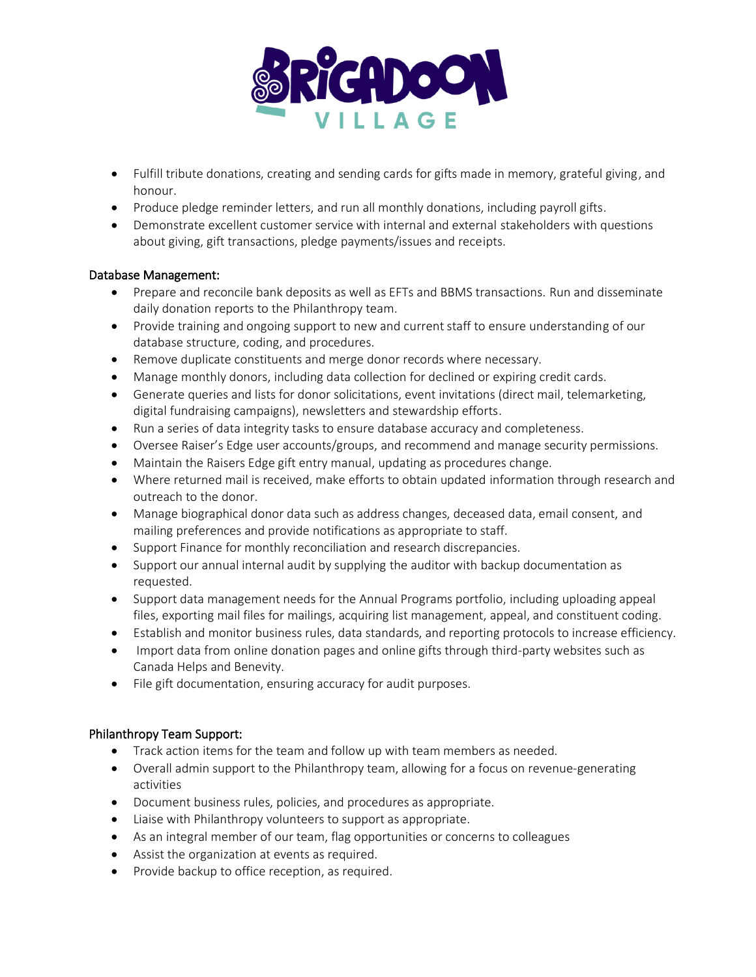

- Fulfill tribute donations, creating and sending cards for gifts made in memory, grateful giving, and honour.
- Produce pledge reminder letters, and run all monthly donations, including payroll gifts.
- Demonstrate excellent customer service with internal and external stakeholders with questions about giving, gift transactions, pledge payments/issues and receipts.

### Database Management:

- Prepare and reconcile bank deposits as well as EFTs and BBMS transactions. Run and disseminate daily donation reports to the Philanthropy team.
- Provide training and ongoing support to new and current staff to ensure understanding of our database structure, coding, and procedures.
- Remove duplicate constituents and merge donor records where necessary.
- Manage monthly donors, including data collection for declined or expiring credit cards.
- Generate queries and lists for donor solicitations, event invitations (direct mail, telemarketing, digital fundraising campaigns), newsletters and stewardship efforts.
- Run a series of data integrity tasks to ensure database accuracy and completeness.
- Oversee Raiser's Edge user accounts/groups, and recommend and manage security permissions.
- Maintain the Raisers Edge gift entry manual, updating as procedures change.
- Where returned mail is received, make efforts to obtain updated information through research and outreach to the donor.
- Manage biographical donor data such as address changes, deceased data, email consent, and mailing preferences and provide notifications as appropriate to staff.
- Support Finance for monthly reconciliation and research discrepancies.
- Support our annual internal audit by supplying the auditor with backup documentation as requested.
- Support data management needs for the Annual Programs portfolio, including uploading appeal files, exporting mail files for mailings, acquiring list management, appeal, and constituent coding.
- Establish and monitor business rules, data standards, and reporting protocols to increase efficiency.
- Import data from online donation pages and online gifts through third-party websites such as Canada Helps and Benevity.
- File gift documentation, ensuring accuracy for audit purposes.

#### Philanthropy Team Support:

- Track action items for the team and follow up with team members as needed.
- Overall admin support to the Philanthropy team, allowing for a focus on revenue-generating activities
- Document business rules, policies, and procedures as appropriate.
- Liaise with Philanthropy volunteers to support as appropriate.
- As an integral member of our team, flag opportunities or concerns to colleagues
- Assist the organization at events as required.
- Provide backup to office reception, as required.